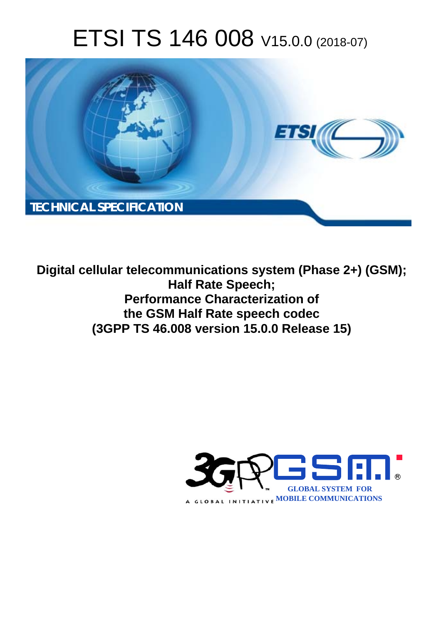# ETSI TS 146 008 V15.0.0 (2018-07)



**Digital cellular telecommunications system (Phase 2+) (GSM); Half Rate Speech; Performance Characterization of the GSM Half Rate speech codec (3GPP TS 46.008 version 15.0.0 Release 15)** 

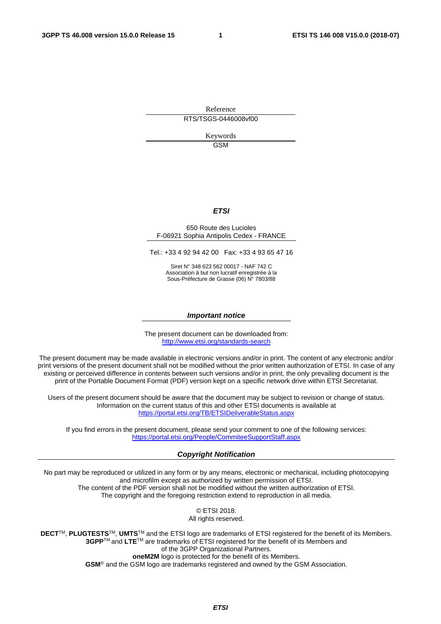Reference RTS/TSGS-0446008vf00

> Keywords GSM

#### *ETSI*

#### 650 Route des Lucioles F-06921 Sophia Antipolis Cedex - FRANCE

Tel.: +33 4 92 94 42 00 Fax: +33 4 93 65 47 16

Siret N° 348 623 562 00017 - NAF 742 C Association à but non lucratif enregistrée à la Sous-Préfecture de Grasse (06) N° 7803/88

#### *Important notice*

The present document can be downloaded from: <http://www.etsi.org/standards-search>

The present document may be made available in electronic versions and/or in print. The content of any electronic and/or print versions of the present document shall not be modified without the prior written authorization of ETSI. In case of any existing or perceived difference in contents between such versions and/or in print, the only prevailing document is the print of the Portable Document Format (PDF) version kept on a specific network drive within ETSI Secretariat.

Users of the present document should be aware that the document may be subject to revision or change of status. Information on the current status of this and other ETSI documents is available at <https://portal.etsi.org/TB/ETSIDeliverableStatus.aspx>

If you find errors in the present document, please send your comment to one of the following services: <https://portal.etsi.org/People/CommiteeSupportStaff.aspx>

#### *Copyright Notification*

No part may be reproduced or utilized in any form or by any means, electronic or mechanical, including photocopying and microfilm except as authorized by written permission of ETSI. The content of the PDF version shall not be modified without the written authorization of ETSI. The copyright and the foregoing restriction extend to reproduction in all media.

> © ETSI 2018. All rights reserved.

**DECT**TM, **PLUGTESTS**TM, **UMTS**TM and the ETSI logo are trademarks of ETSI registered for the benefit of its Members. **3GPP**TM and **LTE**TM are trademarks of ETSI registered for the benefit of its Members and of the 3GPP Organizational Partners. **oneM2M** logo is protected for the benefit of its Members.

**GSM**® and the GSM logo are trademarks registered and owned by the GSM Association.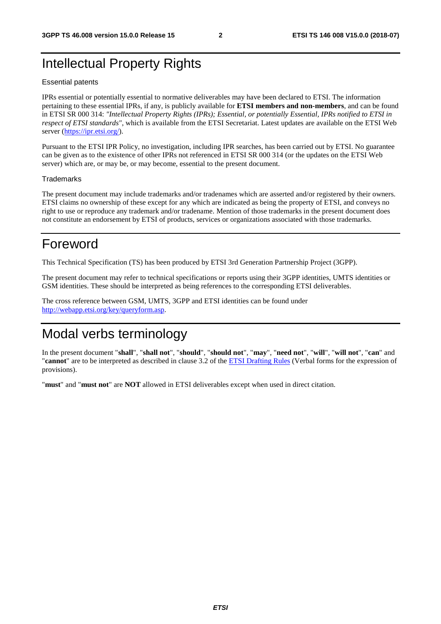## Intellectual Property Rights

#### Essential patents

IPRs essential or potentially essential to normative deliverables may have been declared to ETSI. The information pertaining to these essential IPRs, if any, is publicly available for **ETSI members and non-members**, and can be found in ETSI SR 000 314: *"Intellectual Property Rights (IPRs); Essential, or potentially Essential, IPRs notified to ETSI in respect of ETSI standards"*, which is available from the ETSI Secretariat. Latest updates are available on the ETSI Web server ([https://ipr.etsi.org/\)](https://ipr.etsi.org/).

Pursuant to the ETSI IPR Policy, no investigation, including IPR searches, has been carried out by ETSI. No guarantee can be given as to the existence of other IPRs not referenced in ETSI SR 000 314 (or the updates on the ETSI Web server) which are, or may be, or may become, essential to the present document.

#### **Trademarks**

The present document may include trademarks and/or tradenames which are asserted and/or registered by their owners. ETSI claims no ownership of these except for any which are indicated as being the property of ETSI, and conveys no right to use or reproduce any trademark and/or tradename. Mention of those trademarks in the present document does not constitute an endorsement by ETSI of products, services or organizations associated with those trademarks.

## Foreword

This Technical Specification (TS) has been produced by ETSI 3rd Generation Partnership Project (3GPP).

The present document may refer to technical specifications or reports using their 3GPP identities, UMTS identities or GSM identities. These should be interpreted as being references to the corresponding ETSI deliverables.

The cross reference between GSM, UMTS, 3GPP and ETSI identities can be found under [http://webapp.etsi.org/key/queryform.asp.](http://webapp.etsi.org/key/queryform.asp)

## Modal verbs terminology

In the present document "**shall**", "**shall not**", "**should**", "**should not**", "**may**", "**need not**", "**will**", "**will not**", "**can**" and "**cannot**" are to be interpreted as described in clause 3.2 of the [ETSI Drafting Rules](https://portal.etsi.org/Services/editHelp!/Howtostart/ETSIDraftingRules.aspx) (Verbal forms for the expression of provisions).

"**must**" and "**must not**" are **NOT** allowed in ETSI deliverables except when used in direct citation.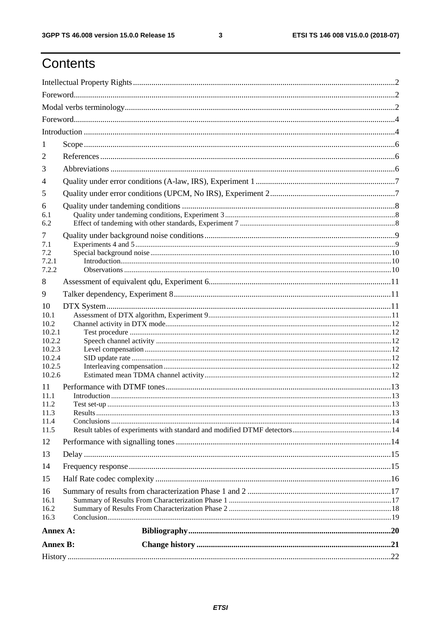$\mathbf{3}$ 

# Contents

| <b>Annex B:</b>      |  |
|----------------------|--|
| Annex A:             |  |
| 16.1<br>16.2<br>16.3 |  |
| 16                   |  |
| 15                   |  |
| 14                   |  |
| 13                   |  |
| 12                   |  |
| 11.4<br>11.5         |  |
| 11.3                 |  |
| 11.1<br>11.2         |  |
| 11                   |  |
| 10.2.5<br>10.2.6     |  |
| 10.2.4               |  |
| 10.2.2<br>10.2.3     |  |
| 10.2.1               |  |
| 10.2                 |  |
| 10<br>10.1           |  |
| 9                    |  |
| 8                    |  |
| 7.2.2                |  |
| 7.2.1                |  |
| 7.1<br>7.2           |  |
| 7                    |  |
| 6.1<br>6.2           |  |
| 6                    |  |
| 5                    |  |
| 4                    |  |
| 3                    |  |
| 2                    |  |
| -1                   |  |
|                      |  |
|                      |  |
|                      |  |
|                      |  |
|                      |  |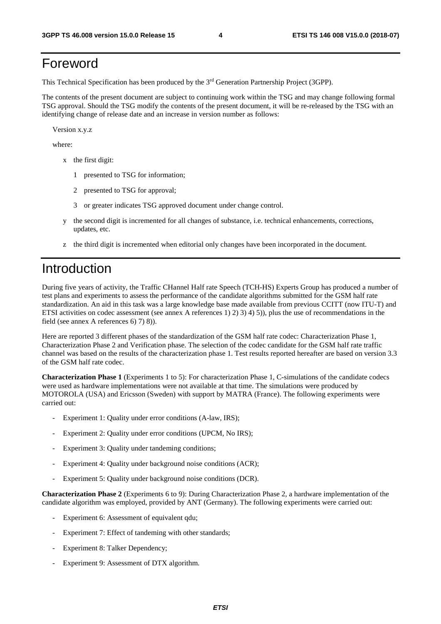# Foreword

This Technical Specification has been produced by the 3rd Generation Partnership Project (3GPP).

The contents of the present document are subject to continuing work within the TSG and may change following formal TSG approval. Should the TSG modify the contents of the present document, it will be re-released by the TSG with an identifying change of release date and an increase in version number as follows:

Version x.y.z

where:

- x the first digit:
	- 1 presented to TSG for information;
	- 2 presented to TSG for approval;
	- 3 or greater indicates TSG approved document under change control.
- y the second digit is incremented for all changes of substance, i.e. technical enhancements, corrections, updates, etc.
- z the third digit is incremented when editorial only changes have been incorporated in the document.

### Introduction

During five years of activity, the Traffic CHannel Half rate Speech (TCH-HS) Experts Group has produced a number of test plans and experiments to assess the performance of the candidate algorithms submitted for the GSM half rate standardization. An aid in this task was a large knowledge base made available from previous CCITT (now ITU-T) and ETSI activities on codec assessment (see annex A references 1) 2) 3) 4) 5)), plus the use of recommendations in the field (see annex A references 6) 7) 8)).

Here are reported 3 different phases of the standardization of the GSM half rate codec: Characterization Phase 1, Characterization Phase 2 and Verification phase. The selection of the codec candidate for the GSM half rate traffic channel was based on the results of the characterization phase 1. Test results reported hereafter are based on version 3.3 of the GSM half rate codec.

**Characterization Phase 1** (Experiments 1 to 5): For characterization Phase 1, C-simulations of the candidate codecs were used as hardware implementations were not available at that time. The simulations were produced by MOTOROLA (USA) and Ericsson (Sweden) with support by MATRA (France). The following experiments were carried out:

- Experiment 1: Quality under error conditions (A-law, IRS);
- Experiment 2: Quality under error conditions (UPCM, No IRS);
- Experiment 3: Quality under tandeming conditions;
- Experiment 4: Quality under background noise conditions (ACR);
- Experiment 5: Quality under background noise conditions (DCR).

**Characterization Phase 2** (Experiments 6 to 9): During Characterization Phase 2, a hardware implementation of the candidate algorithm was employed, provided by ANT (Germany). The following experiments were carried out:

- Experiment 6: Assessment of equivalent qdu;
- Experiment 7: Effect of tandeming with other standards;
- Experiment 8: Talker Dependency;
- Experiment 9: Assessment of DTX algorithm.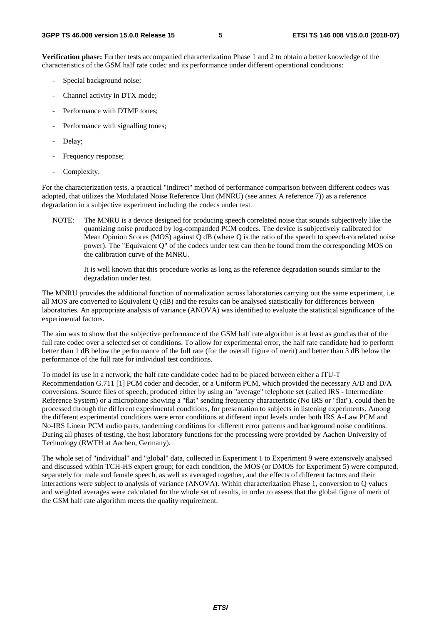**Verification phase:** Further tests accompanied characterization Phase 1 and 2 to obtain a better knowledge of the characteristics of the GSM half rate codec and its performance under different operational conditions:

- Special background noise;
- Channel activity in DTX mode;
- Performance with DTMF tones:
- Performance with signalling tones;
- Delay;
- Frequency response;
- Complexity.

For the characterization tests, a practical "indirect" method of performance comparison between different codecs was adopted, that utilizes the Modulated Noise Reference Unit (MNRU) (see annex A reference 7)) as a reference degradation in a subjective experiment including the codecs under test.

NOTE: The MNRU is a device designed for producing speech correlated noise that sounds subjectively like the quantizing noise produced by log-companded PCM codecs. The device is subjectively calibrated for Mean Opinion Scores (MOS) against  $Q$  dB (where  $Q$  is the ratio of the speech to speech-correlated noise power). The "Equivalent Q" of the codecs under test can then be found from the corresponding MOS on the calibration curve of the MNRU.

 It is well known that this procedure works as long as the reference degradation sounds similar to the degradation under test.

The MNRU provides the additional function of normalization across laboratories carrying out the same experiment, i.e. all MOS are converted to Equivalent Q (dB) and the results can be analysed statistically for differences between laboratories. An appropriate analysis of variance (ANOVA) was identified to evaluate the statistical significance of the experimental factors.

The aim was to show that the subjective performance of the GSM half rate algorithm is at least as good as that of the full rate codec over a selected set of conditions. To allow for experimental error, the half rate candidate had to perform better than 1 dB below the performance of the full rate (for the overall figure of merit) and better than 3 dB below the performance of the full rate for individual test conditions.

To model its use in a network, the half rate candidate codec had to be placed between either a ITU-T Recommendation G.711 [1] PCM coder and decoder, or a Uniform PCM, which provided the necessary A/D and D/A conversions. Source files of speech, produced either by using an "average" telephone set (called IRS - Intermediate Reference System) or a microphone showing a "flat" sending frequency characteristic (No IRS or "flat"), could then be processed through the different experimental conditions, for presentation to subjects in listening experiments. Among the different experimental conditions were error conditions at different input levels under both IRS A-Law PCM and No-IRS Linear PCM audio parts, tandeming conditions for different error patterns and background noise conditions. During all phases of testing, the host laboratory functions for the processing were provided by Aachen University of Technology (RWTH at Aachen, Germany).

The whole set of "individual" and "global" data, collected in Experiment 1 to Experiment 9 were extensively analysed and discussed within TCH-HS expert group; for each condition, the MOS (or DMOS for Experiment 5) were computed, separately for male and female speech, as well as averaged together, and the effects of different factors and their interactions were subject to analysis of variance (ANOVA). Within characterization Phase 1, conversion to Q values and weighted averages were calculated for the whole set of results, in order to assess that the global figure of merit of the GSM half rate algorithm meets the quality requirement.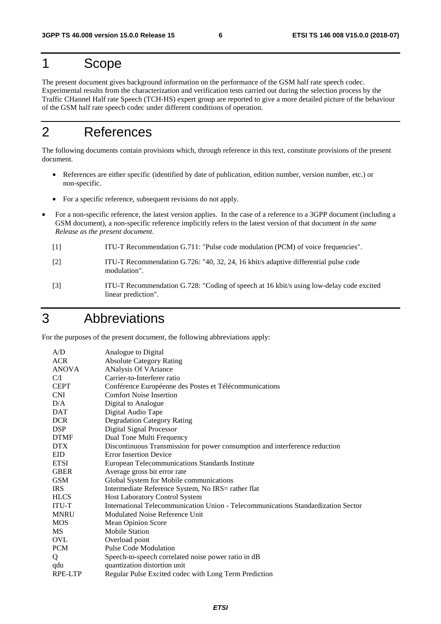# 1 Scope

The present document gives background information on the performance of the GSM half rate speech codec. Experimental results from the characterization and verification tests carried out during the selection process by the Traffic CHannel Half rate Speech (TCH-HS) expert group are reported to give a more detailed picture of the behaviour of the GSM half rate speech codec under different conditions of operation.

## 2 References

The following documents contain provisions which, through reference in this text, constitute provisions of the present document.

- References are either specific (identified by date of publication, edition number, version number, etc.) or non-specific.
- For a specific reference, subsequent revisions do not apply.
- For a non-specific reference, the latest version applies. In the case of a reference to a 3GPP document (including a GSM document), a non-specific reference implicitly refers to the latest version of that document *in the same Release as the present document*.
	- [1] ITU-T Recommendation G.711: "Pulse code modulation (PCM) of voice frequencies".
	- [2] ITU-T Recommendation G.726: "40, 32, 24, 16 kbit/s adaptive differential pulse code modulation".
	- [3] ITU-T Recommendation G.728: "Coding of speech at 16 kbit/s using low-delay code excited linear prediction".

### 3 Abbreviations

For the purposes of the present document, the following abbreviations apply:

| A/D            | Analogue to Digital                                                               |
|----------------|-----------------------------------------------------------------------------------|
| <b>ACR</b>     | <b>Absolute Category Rating</b>                                                   |
| <b>ANOVA</b>   | <b>ANalysis Of VAriance</b>                                                       |
| C/I            | Carrier-to-Interferer ratio                                                       |
| <b>CEPT</b>    | Conférence Européenne des Postes et Télécommunications                            |
| <b>CNI</b>     | <b>Comfort Noise Insertion</b>                                                    |
| D/A            | Digital to Analogue                                                               |
| <b>DAT</b>     | Digital Audio Tape                                                                |
| <b>DCR</b>     | <b>Degradation Category Rating</b>                                                |
| <b>DSP</b>     | <b>Digital Signal Processor</b>                                                   |
| <b>DTMF</b>    | Dual Tone Multi Frequency                                                         |
| <b>DTX</b>     | Discontinuous Transmission for power consumption and interference reduction       |
| EID            | <b>Error Insertion Device</b>                                                     |
| <b>ETSI</b>    | European Telecommunications Standards Institute                                   |
| <b>GBER</b>    | Average gross bit error rate                                                      |
| <b>GSM</b>     | Global System for Mobile communications                                           |
| <b>IRS</b>     | Intermediate Reference System, No IRS= rather flat                                |
| <b>HLCS</b>    | <b>Host Laboratory Control System</b>                                             |
| <b>ITU-T</b>   | International Telecommunication Union - Telecommunications Standardization Sector |
| <b>MNRU</b>    | Modulated Noise Reference Unit                                                    |
| <b>MOS</b>     | Mean Opinion Score                                                                |
| <b>MS</b>      | <b>Mobile Station</b>                                                             |
| <b>OVL</b>     | Overload point                                                                    |
| <b>PCM</b>     | <b>Pulse Code Modulation</b>                                                      |
| Q              | Speech-to-speech correlated noise power ratio in dB                               |
| qdu            | quantization distortion unit                                                      |
| <b>RPE-LTP</b> | Regular Pulse Excited codec with Long Term Prediction                             |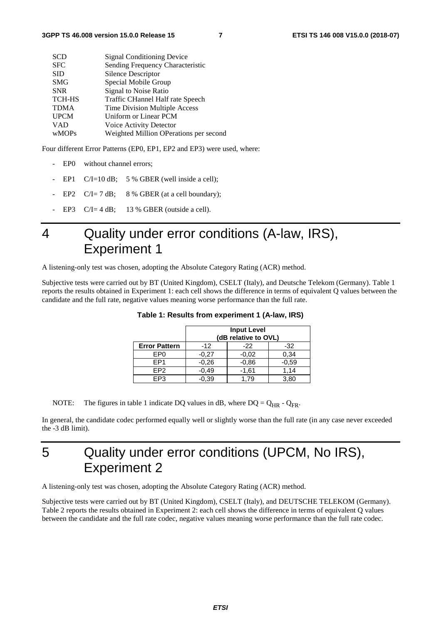| <b>SCD</b>    | <b>Signal Conditioning Device</b>      |
|---------------|----------------------------------------|
| <b>SFC</b>    | Sending Frequency Characteristic       |
| <b>SID</b>    | Silence Descriptor                     |
| <b>SMG</b>    | Special Mobile Group                   |
| <b>SNR</b>    | Signal to Noise Ratio                  |
| <b>TCH-HS</b> | Traffic CHannel Half rate Speech       |
| <b>TDMA</b>   | Time Division Multiple Access          |
| <b>UPCM</b>   | Uniform or Linear PCM                  |
| <b>VAD</b>    | Voice Activity Detector                |
| wMOPs         | Weighted Million OPerations per second |
|               |                                        |

Four different Error Patterns (EP0, EP1, EP2 and EP3) were used, where:

- EP0 without channel errors;
- EP1  $C/I=10$  dB; 5 % GBER (well inside a cell);
- EP2  $C/I = 7 dB$ ; 8 % GBER (at a cell boundary);
- EP3  $C/I = 4 dB$ ; 13 % GBER (outside a cell).

# 4 Quality under error conditions (A-law, IRS), Experiment 1

A listening-only test was chosen, adopting the Absolute Category Rating (ACR) method.

Subjective tests were carried out by BT (United Kingdom), CSELT (Italy), and Deutsche Telekom (Germany). Table 1 reports the results obtained in Experiment 1: each cell shows the difference in terms of equivalent Q values between the candidate and the full rate, negative values meaning worse performance than the full rate.

|                      | <b>Input Level</b><br>(dB relative to OVL) |         |         |  |  |  |  |  |  |  |  |
|----------------------|--------------------------------------------|---------|---------|--|--|--|--|--|--|--|--|
| <b>Error Pattern</b> | $-12$                                      | $-22$   | $-32$   |  |  |  |  |  |  |  |  |
| EP0                  | $-0.27$                                    | $-0.02$ | 0,34    |  |  |  |  |  |  |  |  |
| FP <sub>1</sub>      | $-0.26$                                    | $-0,86$ | $-0,59$ |  |  |  |  |  |  |  |  |
| FP <sub>2</sub>      | $-0.49$                                    | $-1,61$ | 1.14    |  |  |  |  |  |  |  |  |
| EP <sub>3</sub>      | $-0.39$                                    | 1.79    | 3,80    |  |  |  |  |  |  |  |  |

**Table 1: Results from experiment 1 (A-law, IRS)** 

NOTE: The figures in table 1 indicate DQ values in dB, where  $DQ = Q_{HR} - Q_{FR}$ .

In general, the candidate codec performed equally well or slightly worse than the full rate (in any case never exceeded the -3 dB limit).

# 5 Quality under error conditions (UPCM, No IRS), Experiment 2

A listening-only test was chosen, adopting the Absolute Category Rating (ACR) method.

Subjective tests were carried out by BT (United Kingdom), CSELT (Italy), and DEUTSCHE TELEKOM (Germany). Table 2 reports the results obtained in Experiment 2: each cell shows the difference in terms of equivalent Q values between the candidate and the full rate codec, negative values meaning worse performance than the full rate codec.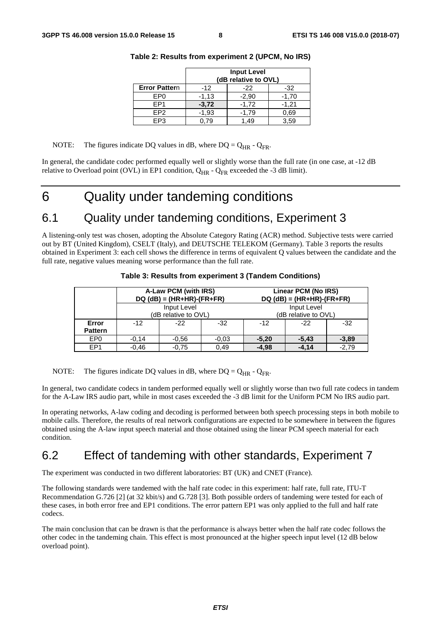|                      | <b>Input Level</b><br>(dB relative to OVL) |         |         |  |  |  |  |  |  |  |  |  |
|----------------------|--------------------------------------------|---------|---------|--|--|--|--|--|--|--|--|--|
| <b>Error Pattern</b> | $-12$                                      | $-22$   | $-32$   |  |  |  |  |  |  |  |  |  |
| EP <sub>0</sub>      | $-1,13$                                    | $-2,90$ | $-1,70$ |  |  |  |  |  |  |  |  |  |
| FP <sub>1</sub>      | $-3,72$                                    | $-1,72$ | $-1,21$ |  |  |  |  |  |  |  |  |  |
| FP <sub>2</sub>      | $-1,93$                                    | $-1.79$ | 0.69    |  |  |  |  |  |  |  |  |  |
| FP3                  | .79                                        | 1.49    | 3.59    |  |  |  |  |  |  |  |  |  |

#### **Table 2: Results from experiment 2 (UPCM, No IRS)**

NOTE: The figures indicate DQ values in dB, where DQ =  $Q_{HR}$  -  $Q_{FR}$ .

In general, the candidate codec performed equally well or slightly worse than the full rate (in one case, at -12 dB relative to Overload point (OVL) in EP1 condition,  $Q_{HR}$  -  $Q_{FR}$  exceeded the -3 dB limit).

# 6 Quality under tandeming conditions

#### 6.1 Quality under tandeming conditions, Experiment 3

A listening-only test was chosen, adopting the Absolute Category Rating (ACR) method. Subjective tests were carried out by BT (United Kingdom), CSELT (Italy), and DEUTSCHE TELEKOM (Germany). Table 3 reports the results obtained in Experiment 3: each cell shows the difference in terms of equivalent Q values between the candidate and the full rate, negative values meaning worse performance than the full rate.

|                         |                    | A-Law PCM (with IRS)<br>$DQ$ (dB) = (HR+HR)-(FR+FR) |         | Linear PCM (No IRS)<br>$DQ$ (dB) = (HR+HR)-(FR+FR) |         |         |  |  |  |  |  |  |
|-------------------------|--------------------|-----------------------------------------------------|---------|----------------------------------------------------|---------|---------|--|--|--|--|--|--|
|                         |                    | Input Level<br>(dB relative to OVL)                 |         | Input Level<br>(dB relative to OVL)                |         |         |  |  |  |  |  |  |
| Error<br><b>Pattern</b> | $-12$              | $-22$                                               | $-32$   | $-12$                                              | -22     | $-32$   |  |  |  |  |  |  |
| EP <sub>0</sub>         | $-0.14$<br>$-0.56$ |                                                     | $-0.03$ | $-5,20$                                            | $-5,43$ | $-3.89$ |  |  |  |  |  |  |
| EP <sub>1</sub>         | $-0.46$            | $-0.75$                                             | 0.49    | $-4.98$                                            | $-4.14$ | $-2,79$ |  |  |  |  |  |  |

**Table 3: Results from experiment 3 (Tandem Conditions)** 

NOTE: The figures indicate DQ values in dB, where  $DQ = Q_{HR} - Q_{FR}$ .

In general, two candidate codecs in tandem performed equally well or slightly worse than two full rate codecs in tandem for the A-Law IRS audio part, while in most cases exceeded the -3 dB limit for the Uniform PCM No IRS audio part.

In operating networks, A-law coding and decoding is performed between both speech processing steps in both mobile to mobile calls. Therefore, the results of real network configurations are expected to be somewhere in between the figures obtained using the A-law input speech material and those obtained using the linear PCM speech material for each condition.

### 6.2 Effect of tandeming with other standards, Experiment 7

The experiment was conducted in two different laboratories: BT (UK) and CNET (France).

The following standards were tandemed with the half rate codec in this experiment: half rate, full rate, ITU-T Recommendation G.726 [2] (at 32 kbit/s) and G.728 [3]. Both possible orders of tandeming were tested for each of these cases, in both error free and EP1 conditions. The error pattern EP1 was only applied to the full and half rate codecs.

The main conclusion that can be drawn is that the performance is always better when the half rate codec follows the other codec in the tandeming chain. This effect is most pronounced at the higher speech input level (12 dB below overload point).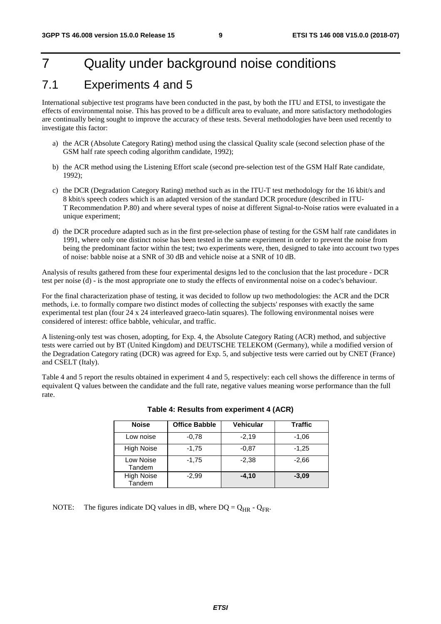# 7 Quality under background noise conditions

#### 7.1 Experiments 4 and 5

International subjective test programs have been conducted in the past, by both the ITU and ETSI, to investigate the effects of environmental noise. This has proved to be a difficult area to evaluate, and more satisfactory methodologies are continually being sought to improve the accuracy of these tests. Several methodologies have been used recently to investigate this factor:

- a) the ACR (Absolute Category Rating) method using the classical Quality scale (second selection phase of the GSM half rate speech coding algorithm candidate, 1992);
- b) the ACR method using the Listening Effort scale (second pre-selection test of the GSM Half Rate candidate, 1992);
- c) the DCR (Degradation Category Rating) method such as in the ITU-T test methodology for the 16 kbit/s and 8 kbit/s speech coders which is an adapted version of the standard DCR procedure (described in ITU-T Recommendation P.80) and where several types of noise at different Signal-to-Noise ratios were evaluated in a unique experiment;
- d) the DCR procedure adapted such as in the first pre-selection phase of testing for the GSM half rate candidates in 1991, where only one distinct noise has been tested in the same experiment in order to prevent the noise from being the predominant factor within the test; two experiments were, then, designed to take into account two types of noise: babble noise at a SNR of 30 dB and vehicle noise at a SNR of 10 dB.

Analysis of results gathered from these four experimental designs led to the conclusion that the last procedure - DCR test per noise (d) - is the most appropriate one to study the effects of environmental noise on a codec's behaviour.

For the final characterization phase of testing, it was decided to follow up two methodologies: the ACR and the DCR methods, i.e. to formally compare two distinct modes of collecting the subjects' responses with exactly the same experimental test plan (four 24 x 24 interleaved graeco-latin squares). The following environmental noises were considered of interest: office babble, vehicular, and traffic.

A listening-only test was chosen, adopting, for Exp. 4, the Absolute Category Rating (ACR) method, and subjective tests were carried out by BT (United Kingdom) and DEUTSCHE TELEKOM (Germany), while a modified version of the Degradation Category rating (DCR) was agreed for Exp. 5, and subjective tests were carried out by CNET (France) and CSELT (Italy).

Table 4 and 5 report the results obtained in experiment 4 and 5, respectively: each cell shows the difference in terms of equivalent Q values between the candidate and the full rate, negative values meaning worse performance than the full rate.

| <b>Noise</b>                | <b>Office Babble</b> | <b>Vehicular</b> | <b>Traffic</b> |
|-----------------------------|----------------------|------------------|----------------|
| Low noise                   | $-0.78$              | $-2,19$          | $-1.06$        |
| <b>High Noise</b>           | $-1,75$              | $-0.87$          | $-1,25$        |
| Low Noise<br>Tandem         | $-1,75$              | $-2.38$          | $-2.66$        |
| <b>High Noise</b><br>Tandem | $-2.99$              | $-4.10$          | $-3.09$        |

#### **Table 4: Results from experiment 4 (ACR)**

NOTE: The figures indicate DQ values in dB, where DQ =  $Q_{HR}$  -  $Q_{FR}$ .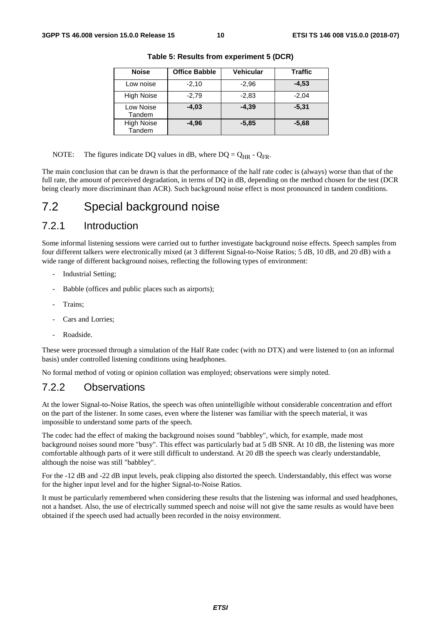| <b>Noise</b>                | <b>Office Babble</b> | <b>Vehicular</b> | <b>Traffic</b> |
|-----------------------------|----------------------|------------------|----------------|
| Low noise                   | $-2,10$              | $-2,96$          | $-4.53$        |
| <b>High Noise</b>           | $-2,79$              | $-2,83$          | $-2.04$        |
| Low Noise<br>Tandem         | $-4,03$              | $-4.39$          | $-5.31$        |
| <b>High Noise</b><br>Tandem | $-4.96$              | $-5.85$          | $-5,68$        |

**Table 5: Results from experiment 5 (DCR)** 

NOTE: The figures indicate DQ values in dB, where  $DQ = Q_{HR} - Q_{FR}$ .

The main conclusion that can be drawn is that the performance of the half rate codec is (always) worse than that of the full rate, the amount of perceived degradation, in terms of DQ in dB, depending on the method chosen for the test (DCR being clearly more discriminant than ACR). Such background noise effect is most pronounced in tandem conditions.

#### 7.2 Special background noise

#### 7.2.1 Introduction

Some informal listening sessions were carried out to further investigate background noise effects. Speech samples from four different talkers were electronically mixed (at 3 different Signal-to-Noise Ratios; 5 dB, 10 dB, and 20 dB) with a wide range of different background noises, reflecting the following types of environment:

- Industrial Setting:
- Babble (offices and public places such as airports);
- Trains:
- Cars and Lorries;
- Roadside.

These were processed through a simulation of the Half Rate codec (with no DTX) and were listened to (on an informal basis) under controlled listening conditions using headphones.

No formal method of voting or opinion collation was employed; observations were simply noted.

#### 7.2.2 Observations

At the lower Signal-to-Noise Ratios, the speech was often unintelligible without considerable concentration and effort on the part of the listener. In some cases, even where the listener was familiar with the speech material, it was impossible to understand some parts of the speech.

The codec had the effect of making the background noises sound "babbley", which, for example, made most background noises sound more "busy". This effect was particularly bad at 5 dB SNR. At 10 dB, the listening was more comfortable although parts of it were still difficult to understand. At 20 dB the speech was clearly understandable, although the noise was still "babbley".

For the -12 dB and -22 dB input levels, peak clipping also distorted the speech. Understandably, this effect was worse for the higher input level and for the higher Signal-to-Noise Ratios.

It must be particularly remembered when considering these results that the listening was informal and used headphones, not a handset. Also, the use of electrically summed speech and noise will not give the same results as would have been obtained if the speech used had actually been recorded in the noisy environment.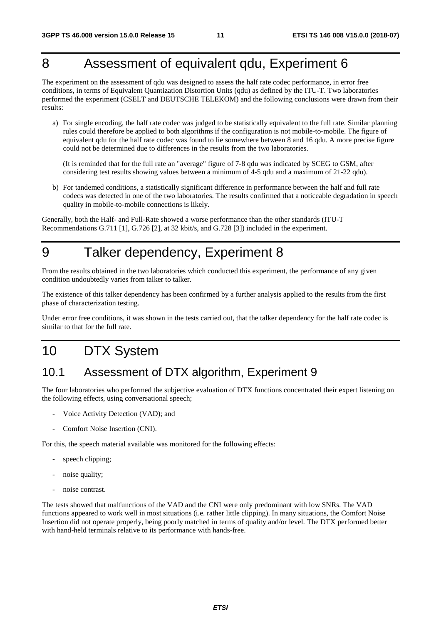# 8 Assessment of equivalent qdu, Experiment 6

The experiment on the assessment of qdu was designed to assess the half rate codec performance, in error free conditions, in terms of Equivalent Quantization Distortion Units (qdu) as defined by the ITU-T. Two laboratories performed the experiment (CSELT and DEUTSCHE TELEKOM) and the following conclusions were drawn from their results:

a) For single encoding, the half rate codec was judged to be statistically equivalent to the full rate. Similar planning rules could therefore be applied to both algorithms if the configuration is not mobile-to-mobile. The figure of equivalent qdu for the half rate codec was found to lie somewhere between 8 and 16 qdu. A more precise figure could not be determined due to differences in the results from the two laboratories.

 (It is reminded that for the full rate an "average" figure of 7-8 qdu was indicated by SCEG to GSM, after considering test results showing values between a minimum of 4-5 qdu and a maximum of 21-22 qdu).

b) For tandemed conditions, a statistically significant difference in performance between the half and full rate codecs was detected in one of the two laboratories. The results confirmed that a noticeable degradation in speech quality in mobile-to-mobile connections is likely.

Generally, both the Half- and Full-Rate showed a worse performance than the other standards (ITU-T Recommendations G.711 [1], G.726 [2], at 32 kbit/s, and G.728 [3]) included in the experiment.

## 9 Talker dependency, Experiment 8

From the results obtained in the two laboratories which conducted this experiment, the performance of any given condition undoubtedly varies from talker to talker.

The existence of this talker dependency has been confirmed by a further analysis applied to the results from the first phase of characterization testing.

Under error free conditions, it was shown in the tests carried out, that the talker dependency for the half rate codec is similar to that for the full rate.

# 10 DTX System

#### 10.1 Assessment of DTX algorithm, Experiment 9

The four laboratories who performed the subjective evaluation of DTX functions concentrated their expert listening on the following effects, using conversational speech;

- Voice Activity Detection (VAD); and
- Comfort Noise Insertion (CNI).

For this, the speech material available was monitored for the following effects:

- speech clipping;
- noise quality;
- noise contrast.

The tests showed that malfunctions of the VAD and the CNI were only predominant with low SNRs. The VAD functions appeared to work well in most situations (i.e. rather little clipping). In many situations, the Comfort Noise Insertion did not operate properly, being poorly matched in terms of quality and/or level. The DTX performed better with hand-held terminals relative to its performance with hands-free.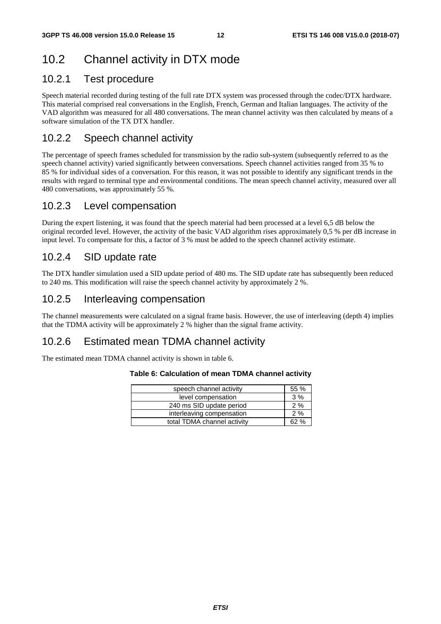# 10.2 Channel activity in DTX mode

#### 10.2.1 Test procedure

Speech material recorded during testing of the full rate DTX system was processed through the codec/DTX hardware. This material comprised real conversations in the English, French, German and Italian languages. The activity of the VAD algorithm was measured for all 480 conversations. The mean channel activity was then calculated by means of a software simulation of the TX DTX handler.

#### 10.2.2 Speech channel activity

The percentage of speech frames scheduled for transmission by the radio sub-system (subsequently referred to as the speech channel activity) varied significantly between conversations. Speech channel activities ranged from 35 % to 85 % for individual sides of a conversation. For this reason, it was not possible to identify any significant trends in the results with regard to terminal type and environmental conditions. The mean speech channel activity, measured over all 480 conversations, was approximately 55 %.

#### 10.2.3 Level compensation

During the expert listening, it was found that the speech material had been processed at a level 6,5 dB below the original recorded level. However, the activity of the basic VAD algorithm rises approximately 0,5 % per dB increase in input level. To compensate for this, a factor of 3 % must be added to the speech channel activity estimate.

#### 10.2.4 SID update rate

The DTX handler simulation used a SID update period of 480 ms. The SID update rate has subsequently been reduced to 240 ms. This modification will raise the speech channel activity by approximately 2 %.

#### 10.2.5 Interleaving compensation

The channel measurements were calculated on a signal frame basis. However, the use of interleaving (depth 4) implies that the TDMA activity will be approximately 2 % higher than the signal frame activity.

#### 10.2.6 Estimated mean TDMA channel activity

The estimated mean TDMA channel activity is shown in table 6.

#### **Table 6: Calculation of mean TDMA channel activity**

| speech channel activity     | 55 % |  |  |  |  |  |
|-----------------------------|------|--|--|--|--|--|
| level compensation          | 3%   |  |  |  |  |  |
| 240 ms SID update period    |      |  |  |  |  |  |
| interleaving compensation   | 2%   |  |  |  |  |  |
| total TDMA channel activity | ) O/ |  |  |  |  |  |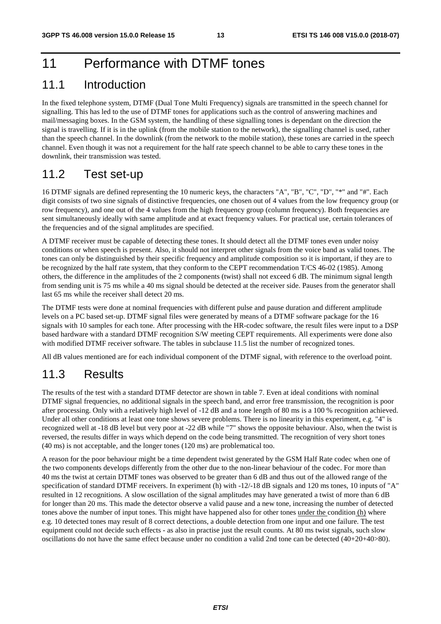# 11 Performance with DTMF tones

#### 11.1 Introduction

In the fixed telephone system, DTMF (Dual Tone Multi Frequency) signals are transmitted in the speech channel for signalling. This has led to the use of DTMF tones for applications such as the control of answering machines and mail/messaging boxes. In the GSM system, the handling of these signalling tones is dependant on the direction the signal is travelling. If it is in the uplink (from the mobile station to the network), the signalling channel is used, rather than the speech channel. In the downlink (from the network to the mobile station), these tones are carried in the speech channel. Even though it was not a requirement for the half rate speech channel to be able to carry these tones in the downlink, their transmission was tested.

#### 11.2 Test set-up

16 DTMF signals are defined representing the 10 numeric keys, the characters "A", "B", "C", "D", "\*" and "#". Each digit consists of two sine signals of distinctive frequencies, one chosen out of 4 values from the low frequency group (or row frequency), and one out of the 4 values from the high frequency group (column frequency). Both frequencies are sent simultaneously ideally with same amplitude and at exact frequency values. For practical use, certain tolerances of the frequencies and of the signal amplitudes are specified.

A DTMF receiver must be capable of detecting these tones. It should detect all the DTMF tones even under noisy conditions or when speech is present. Also, it should not interpret other signals from the voice band as valid tones. The tones can only be distinguished by their specific frequency and amplitude composition so it is important, if they are to be recognized by the half rate system, that they conform to the CEPT recommendation T/CS 46-02 (1985). Among others, the difference in the amplitudes of the 2 components (twist) shall not exceed 6 dB. The minimum signal length from sending unit is 75 ms while a 40 ms signal should be detected at the receiver side. Pauses from the generator shall last 65 ms while the receiver shall detect 20 ms.

The DTMF tests were done at nominal frequencies with different pulse and pause duration and different amplitude levels on a PC based set-up. DTMF signal files were generated by means of a DTMF software package for the 16 signals with 10 samples for each tone. After processing with the HR-codec software, the result files were input to a DSP based hardware with a standard DTMF recognition S/W meeting CEPT requirements. All experiments were done also with modified DTMF receiver software. The tables in subclause 11.5 list the number of recognized tones.

All dB values mentioned are for each individual component of the DTMF signal, with reference to the overload point.

#### 11.3 Results

The results of the test with a standard DTMF detector are shown in table 7. Even at ideal conditions with nominal DTMF signal frequencies, no additional signals in the speech band, and error free transmission, the recognition is poor after processing. Only with a relatively high level of -12 dB and a tone length of 80 ms is a 100 % recognition achieved. Under all other conditions at least one tone shows severe problems. There is no linearity in this experiment, e.g. "4" is recognized well at -18 dB level but very poor at -22 dB while "7" shows the opposite behaviour. Also, when the twist is reversed, the results differ in ways which depend on the code being transmitted. The recognition of very short tones (40 ms) is not acceptable, and the longer tones (120 ms) are problematical too.

A reason for the poor behaviour might be a time dependent twist generated by the GSM Half Rate codec when one of the two components develops differently from the other due to the non-linear behaviour of the codec. For more than 40 ms the twist at certain DTMF tones was observed to be greater than 6 dB and thus out of the allowed range of the specification of standard DTMF receivers. In experiment (h) with -12/-18 dB signals and 120 ms tones, 10 inputs of "A" resulted in 12 recognitions. A slow oscillation of the signal amplitudes may have generated a twist of more than 6 dB for longer than 20 ms. This made the detector observe a valid pause and a new tone, increasing the number of detected tones above the number of input tones. This might have happened also for other tones under the condition (h) where e.g. 10 detected tones may result of 8 correct detections, a double detection from one input and one failure. The test equipment could not decide such effects - as also in practise just the result counts. At 80 ms twist signals, such slow oscillations do not have the same effect because under no condition a valid 2nd tone can be detected (40+20+40>80).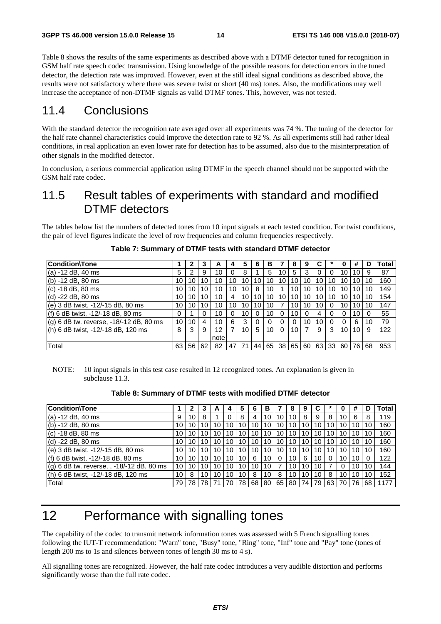Table 8 shows the results of the same experiments as described above with a DTMF detector tuned for recognition in GSM half rate speech codec transmission. Using knowledge of the possible reasons for detection errors in the tuned detector, the detection rate was improved. However, even at the still ideal signal conditions as described above, the results were not satisfactory where there was severe twist or short (40 ms) tones. Also, the modifications may well increase the acceptance of non-DTMF signals as valid DTMF tones. This, however, was not tested.

#### 11.4 Conclusions

With the standard detector the recognition rate averaged over all experiments was 74 %. The tuning of the detector for the half rate channel characteristics could improve the detection rate to 92 %. As all experiments still had rather ideal conditions, in real application an even lower rate for detection has to be assumed, also due to the misinterpretation of other signals in the modified detector.

In conclusion, a serious commercial application using DTMF in the speech channel should not be supported with the GSM half rate codec.

#### 11.5 Result tables of experiments with standard and modified DTMF detectors

The tables below list the numbers of detected tones from 10 input signals at each tested condition. For twist conditions, the pair of level figures indicate the level of row frequencies and column frequencies respectively.

| Condition\Tone                          |    | າ  |    | A    |    | 5  | 6  | в        |          | 8  | 9  | C     |          |      | #  | D  | <b>Total</b> |
|-----------------------------------------|----|----|----|------|----|----|----|----------|----------|----|----|-------|----------|------|----|----|--------------|
| (a) -12 dB, 40 ms                       | 5  | ົ  | 9  | 10   |    | 8  |    | 5        | 10       | 5  | 3  | 0     |          | 10   | 10 | 9  | 87           |
| (b) -12 dB, 80 ms                       | 10 | 10 | 10 | 10   | 10 | 10 | 10 | 10       | 10       | 10 | 10 | 10    | 10       | 10   | 10 | 10 | 160          |
| (c) -18 dB, 80 ms                       | 10 | 10 | 10 | 10   | 10 | 10 | 8  | 10       |          | 10 | 10 | 10    | 10       | 10   | 10 | 10 | 149          |
| (d) -22 dB, 80 ms                       | 10 | 10 | 10 | 10   | 4  | 10 | 10 | 10       | 10       | 10 | 10 | 10    | 10       | 10   | 10 | 10 | 154          |
| (e) 3 dB twist, -12/-15 dB, 80 ms       | 10 | 10 | 10 | 10   | 10 | 10 | 10 | 10       |          | 10 | 10 | 10    | 0        | 10   | 10 | 10 | 147          |
| (f) 6 dB twist, -12/-18 dB, 80 ms       | 0  |    |    | 10   | 0  | 10 | 0  | 10       | 0        | 10 | 0  | 4     |          | 0    | 10 |    | 55           |
| (g) 6 dB tw. reverse, -18/-12 dB, 80 ms | 10 | 10 | 4  | 10   | 6  | 3  |    | $\Omega$ | 0        |    | 10 | 10    | $\Omega$ |      | 6  | 10 | 79           |
| (h) 6 dB twist, -12/-18 dB, 120 ms      | 8  | 3  | 9  | 12   |    | 10 | 5  | 10       | $\Omega$ | 10 |    | 9     | 3        | 10   | 10 | 9  | 122          |
|                                         |    |    |    | note |    |    |    |          |          |    |    |       |          |      |    |    |              |
| Total                                   | 63 | 56 | 62 | 82   | 47 | 71 | 44 | 65       | 38       | 65 |    | 60 63 | l 33     | 60 I | 76 | 68 | 953          |

|  | Table 7: Summary of DTMF tests with standard DTMF detector |
|--|------------------------------------------------------------|
|--|------------------------------------------------------------|

NOTE: 10 input signals in this test case resulted in 12 recognized tones. An explanation is given in subclause 11.3.

#### **Table 8: Summary of DTMF tests with modified DTMF detector**

| <b>Condition\Tone</b>                     |    | כי |    | A  |    | 5  | 6  | в  |    | 8  | 9  |    |    |    | #  | D  | Total |
|-------------------------------------------|----|----|----|----|----|----|----|----|----|----|----|----|----|----|----|----|-------|
| $(a) -12$ dB, 40 ms                       | 9  | 10 | 8  |    |    | 8  | 4  | 10 | 10 | 10 | 8  | 9  | 8  | 10 | 6  | 8  | 119   |
| (b) $-12$ dB, 80 ms                       | 10 | 10 | 10 | 10 | 10 | 10 | 10 | 10 | 10 | 10 | 10 | 10 | 10 | 10 | 10 | 10 | 160   |
| $(c) -18$ dB, 80 ms                       | 10 | 10 | 10 | 10 | 10 | 10 | 10 | 10 | 10 | 10 | 10 | 10 | 10 | 10 | 10 | 10 | 160   |
| (d) -22 dB, 80 ms                         | 10 | 10 | 10 | 10 | 10 | 10 | 10 | 10 | 10 | 10 | 10 | 10 | 10 | 10 | 10 | 10 | 160   |
| (e) 3 dB twist, -12/-15 dB, 80 ms         | 10 | 10 | 10 | 10 | 10 | 10 | 10 | 10 | 10 | 10 | 10 | 10 | 10 | 10 | 10 | 10 | 160   |
| (f) 6 dB twist, -12/-18 dB, 80 ms         | 10 | 10 | 10 | 10 | 10 | 10 | 6  | 10 | 0  | 10 | 6  | 10 |    | 10 | 10 |    | 122   |
| (g) 6 dB tw. reverse, , -18/-12 dB, 80 ms | 10 | 10 | 10 | 10 | 10 | 10 | 10 | 10 |    | 10 | 10 | 10 |    | 0  | 10 | 10 | 144   |
| (h) 6 dB twist, -12/-18 dB, 120 ms        | 10 | 8  | 10 | 10 | 10 | 10 | 8  | 10 | 8  | 10 | 10 | 10 | 8  | 10 | 10 | 10 | 152   |
| Total                                     | 79 | 78 | 78 |    |    | 78 | 68 | 80 | 65 | 80 | 74 | 79 | 63 | 70 | 76 | 68 | 1177  |

## 12 Performance with signalling tones

The capability of the codec to transmit network information tones was assessed with 5 French signalling tones following the IUT-T recommendation: "Warn" tone, "Busy" tone, "Ring" tone, "Inf" tone and "Pay" tone (tones of length 200 ms to 1s and silences between tones of length 30 ms to 4 s).

All signalling tones are recognized. However, the half rate codec introduces a very audible distortion and performs significantly worse than the full rate codec.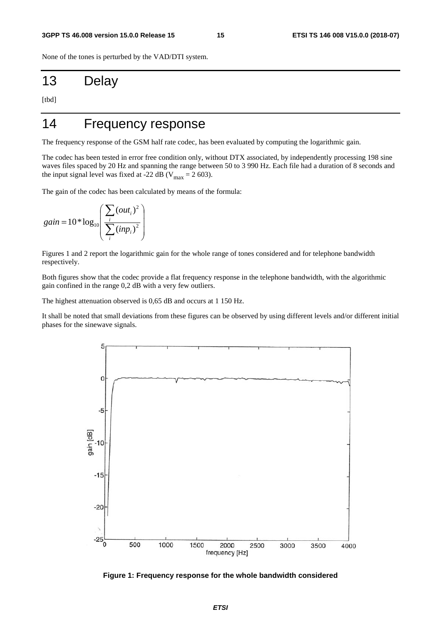None of the tones is perturbed by the VAD/DTI system.

## 13 Delay

[tbd]

# 14 Frequency response

The frequency response of the GSM half rate codec, has been evaluated by computing the logarithmic gain.

The codec has been tested in error free condition only, without DTX associated, by independently processing 198 sine waves files spaced by 20 Hz and spanning the range between 50 to 3 990 Hz. Each file had a duration of 8 seconds and the input signal level was fixed at -22 dB ( $V_{\text{max}} = 2$  603).

The gain of the codec has been calculated by means of the formula:

$$
gain = 10 * log_{10}\left(\frac{\sum_{i} (out_i)^2}{\sum_{i} (inp_i)^2}\right)
$$

Figures 1 and 2 report the logarithmic gain for the whole range of tones considered and for telephone bandwidth respectively.

Both figures show that the codec provide a flat frequency response in the telephone bandwidth, with the algorithmic gain confined in the range 0,2 dB with a very few outliers.

The highest attenuation observed is 0,65 dB and occurs at 1 150 Hz.

It shall be noted that small deviations from these figures can be observed by using different levels and/or different initial phases for the sinewave signals.



**Figure 1: Frequency response for the whole bandwidth considered**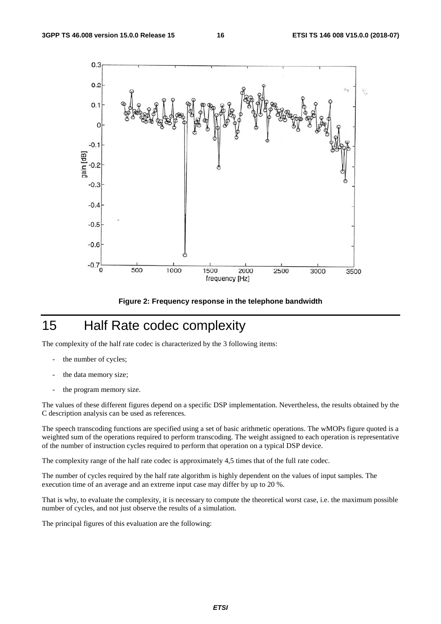

**Figure 2: Frequency response in the telephone bandwidth** 

# 15 Half Rate codec complexity

The complexity of the half rate codec is characterized by the 3 following items:

- the number of cycles;
- the data memory size;
- the program memory size.

The values of these different figures depend on a specific DSP implementation. Nevertheless, the results obtained by the C description analysis can be used as references.

The speech transcoding functions are specified using a set of basic arithmetic operations. The wMOPs figure quoted is a weighted sum of the operations required to perform transcoding. The weight assigned to each operation is representative of the number of instruction cycles required to perform that operation on a typical DSP device.

The complexity range of the half rate codec is approximately 4,5 times that of the full rate codec.

The number of cycles required by the half rate algorithm is highly dependent on the values of input samples. The execution time of an average and an extreme input case may differ by up to 20 %.

That is why, to evaluate the complexity, it is necessary to compute the theoretical worst case, i.e. the maximum possible number of cycles, and not just observe the results of a simulation.

The principal figures of this evaluation are the following: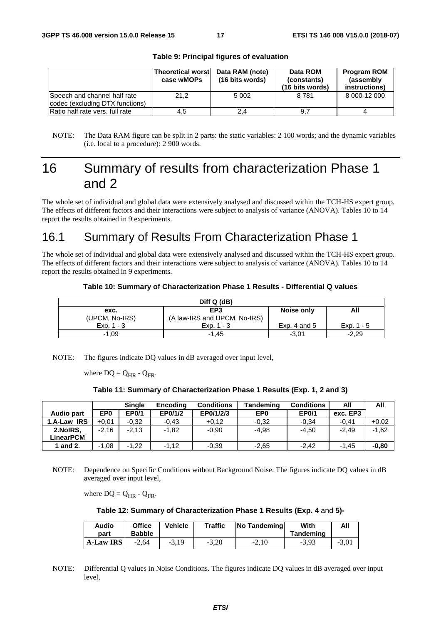|                                                                 | <b>Theoretical worst</b><br>case wMOPs | Data RAM (note)<br>(16 bits words) | Data ROM<br>(constants)<br>(16 bits words) | <b>Program ROM</b><br>(assembly)<br>instructions) |
|-----------------------------------------------------------------|----------------------------------------|------------------------------------|--------------------------------------------|---------------------------------------------------|
| Speech and channel half rate<br>codec (excluding DTX functions) | 21.2                                   | 5 0 0 2                            | 8 7 8 1                                    | 8 000-12 000                                      |
| Ratio half rate vers, full rate                                 | 4,5                                    | 2,4                                |                                            |                                                   |

#### **Table 9: Principal figures of evaluation**

# 16 Summary of results from characterization Phase 1 and 2

The whole set of individual and global data were extensively analysed and discussed within the TCH-HS expert group. The effects of different factors and their interactions were subject to analysis of variance (ANOVA). Tables 10 to 14 report the results obtained in 9 experiments.

#### 16.1 Summary of Results From Characterization Phase 1

The whole set of individual and global data were extensively analysed and discussed within the TCH-HS expert group. The effects of different factors and their interactions were subject to analysis of variance (ANOVA). Tables 10 to 14 report the results obtained in 9 experiments.

#### **Table 10: Summary of Characterization Phase 1 Results - Differential Q values**

| Diff Q (dB)    |                              |                |              |  |  |  |  |
|----------------|------------------------------|----------------|--------------|--|--|--|--|
| exc.           | EP <sub>3</sub>              | Noise only     | All          |  |  |  |  |
| (UPCM, No-IRS) | (A law-IRS and UPCM, No-IRS) |                |              |  |  |  |  |
| Exp. $1 - 3$   | $Exp. 1 - 3$                 | Exp. 4 and $5$ | Exp. $1 - 5$ |  |  |  |  |
| $-1.09$        | $-1.45$                      | $-3.01$        | $-2.29$      |  |  |  |  |

NOTE: The figures indicate DQ values in dB averaged over input level,

where  $DQ = Q_{HR} - Q_{FR}$ .

#### **Table 11: Summary of Characterization Phase 1 Results (Exp. 1, 2 and 3)**

|             |                 | <b>Single</b> | <b>Encoding</b> | <b>Conditions</b> | <b>Tandeming</b> | <b>Conditions</b> | All      | All     |
|-------------|-----------------|---------------|-----------------|-------------------|------------------|-------------------|----------|---------|
| Audio part  | EP <sub>0</sub> | <b>EP0/1</b>  | EP0/1/2         | EP0/1/2/3         | EP <sub>0</sub>  | <b>EP0/1</b>      | exc. EP3 |         |
| 1.A-Law IRS | $+0.01$         | $-0.32$       | $-0.43$         | $+0.12$           | $-0.32$          | $-0.34$           | $-0.41$  | $+0.02$ |
| 2.NoIRS.    | $-2.16$         | $-2.13$       | $-1.82$         | $-0.90$           | $-4.98$          | $-4.50$           | $-2.49$  | $-1,62$ |
| LinearPCM   |                 |               |                 |                   |                  |                   |          |         |
| 1 and 2.    | $-1,08$         | $-1.22$       | $-1,12$         | $-0.39$           | $-2.65$          | $-2.42$           | $-1.45$  | $-0.80$ |

NOTE: Dependence on Specific Conditions without Background Noise. The figures indicate DQ values in dB averaged over input level,

where  $DQ = Q_{HR} - Q_{FR}$ .

#### **Table 12: Summary of Characterization Phase 1 Results (Exp. 4** and **5)-**

| Audio<br>part    | <b>Office</b><br><b>Babble</b> | Vehicle | <b>Traffic</b> | <b>No Tandeming</b> | With<br>Tandeming | All     |
|------------------|--------------------------------|---------|----------------|---------------------|-------------------|---------|
| <b>A-Law IRS</b> | $-2.64$                        | $-3.19$ | $-3.20$        | $-2.10$             | $-3.93$           | $-3,01$ |

NOTE: Differential Q values in Noise Conditions. The figures indicate DQ values in dB averaged over input level,

NOTE: The Data RAM figure can be split in 2 parts: the static variables: 2 100 words; and the dynamic variables (i.e. local to a procedure): 2 900 words.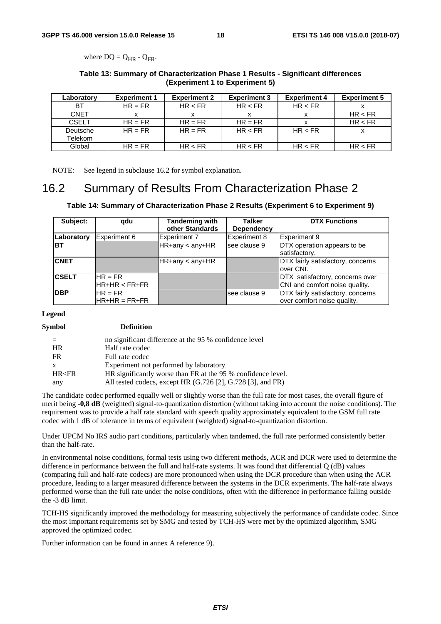where  $DQ = Q_{HR} - Q_{FR}$ .

#### **Table 13: Summary of Characterization Phase 1 Results - Significant differences (Experiment 1 to Experiment 5)**

| Laboratory   | <b>Experiment 1</b> | <b>Experiment 2</b> | <b>Experiment 3</b> | <b>Experiment 4</b> | <b>Experiment 5</b> |
|--------------|---------------------|---------------------|---------------------|---------------------|---------------------|
| ВT           | $HR = FR$           | HR < FR             | HR < FR             | HR < FR             |                     |
| <b>CNET</b>  |                     |                     |                     |                     | HR < FR             |
| <b>CSELT</b> | $HR = FR$           | $HR = FR$           | $HR = FR$           | x                   | HR < FR             |
| Deutsche     | $HR = FR$           | $HR = FR$           | HR < FR             | HR < FR             |                     |
| Telekom      |                     |                     |                     |                     |                     |
| Global       | $HR = FR$           | HR < FR             | HR < FR             | HR < FR             | HR < FR             |

NOTE: See legend in subclause 16.2 for symbol explanation.

#### 16.2 Summary of Results From Characterization Phase 2

#### **Table 14: Summary of Characterization Phase 2 Results (Experiment 6 to Experiment 9)**

| Subject:     | qdu                           | <b>Tandeming with</b><br>other Standards | <b>Talker</b><br>Dependency | <b>DTX Functions</b>                                              |
|--------------|-------------------------------|------------------------------------------|-----------------------------|-------------------------------------------------------------------|
| Laboratory   | Experiment 6                  | <b>Experiment 7</b>                      | Experiment 8                | Experiment 9                                                      |
| <b>BT</b>    |                               | $H$ R+any < any+HR                       | lsee clause 9               | DTX operation appears to be<br>satisfactory.                      |
| <b>CNET</b>  |                               | $H$ R+any < any+HR                       |                             | DTX fairly satisfactory, concerns<br>over CNI.                    |
| <b>CSELT</b> | $HR = FR$<br>$H$ R+HR < FR+FR |                                          |                             | DTX satisfactory, concerns over<br>CNI and comfort noise quality. |
| <b>DBP</b>   | $HR = FR$<br>$HR+HR = FR+FR$  |                                          | see clause 9                | DTX fairly satisfactory, concerns<br>over comfort noise quality.  |

**Legend** 

#### **Symbol Definition**

| $=$          | no significant difference at the 95 % confidence level       |
|--------------|--------------------------------------------------------------|
| <b>HR</b>    | Half rate codec                                              |
| <b>FR</b>    | Full rate codec                                              |
| $\mathbf{X}$ | Experiment not performed by laboratory                       |
| HR < FR      | HR significantly worse than FR at the 95 % confidence level. |
| any          | All tested codecs, except HR (G.726 [2], G.728 [3], and FR)  |

The candidate codec performed equally well or slightly worse than the full rate for most cases, the overall figure of merit being **-0,8 dB** (weighted) signal-to-quantization distortion (without taking into account the noise conditions). The requirement was to provide a half rate standard with speech quality approximately equivalent to the GSM full rate codec with 1 dB of tolerance in terms of equivalent (weighted) signal-to-quantization distortion.

Under UPCM No IRS audio part conditions, particularly when tandemed, the full rate performed consistently better than the half-rate.

In environmental noise conditions, formal tests using two different methods, ACR and DCR were used to determine the difference in performance between the full and half-rate systems. It was found that differential Q (dB) values (comparing full and half-rate codecs) are more pronounced when using the DCR procedure than when using the ACR procedure, leading to a larger measured difference between the systems in the DCR experiments. The half-rate always performed worse than the full rate under the noise conditions, often with the difference in performance falling outside the -3 dB limit.

TCH-HS significantly improved the methodology for measuring subjectively the performance of candidate codec. Since the most important requirements set by SMG and tested by TCH-HS were met by the optimized algorithm, SMG approved the optimized codec.

Further information can be found in annex A reference 9).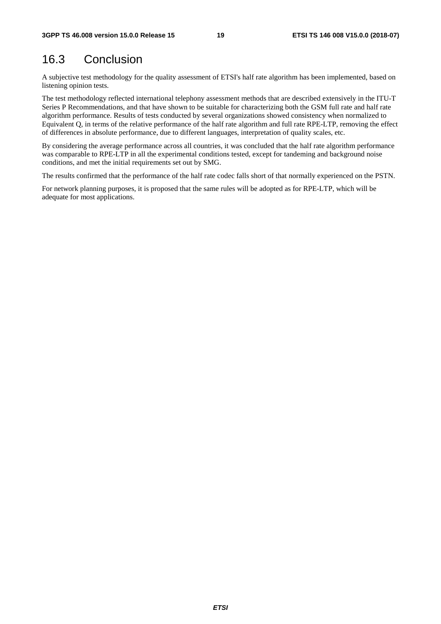# 16.3 Conclusion

A subjective test methodology for the quality assessment of ETSI's half rate algorithm has been implemented, based on listening opinion tests.

The test methodology reflected international telephony assessment methods that are described extensively in the ITU-T Series P Recommendations, and that have shown to be suitable for characterizing both the GSM full rate and half rate algorithm performance. Results of tests conducted by several organizations showed consistency when normalized to Equivalent Q, in terms of the relative performance of the half rate algorithm and full rate RPE-LTP, removing the effect of differences in absolute performance, due to different languages, interpretation of quality scales, etc.

By considering the average performance across all countries, it was concluded that the half rate algorithm performance was comparable to RPE-LTP in all the experimental conditions tested, except for tandeming and background noise conditions, and met the initial requirements set out by SMG.

The results confirmed that the performance of the half rate codec falls short of that normally experienced on the PSTN.

For network planning purposes, it is proposed that the same rules will be adopted as for RPE-LTP, which will be adequate for most applications.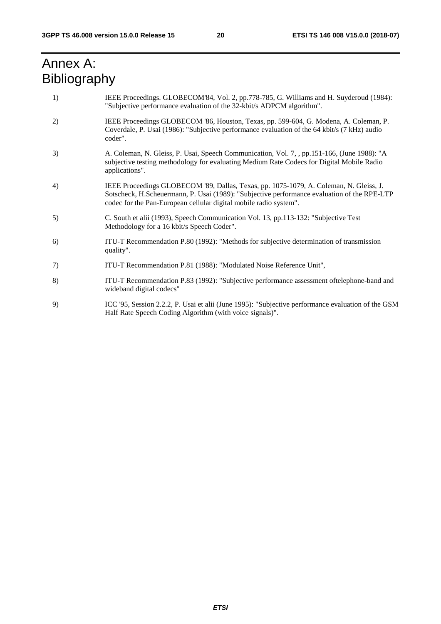# Annex A: Bibliography

| 1) | IEEE Proceedings. GLOBECOM'84, Vol. 2, pp.778-785, G. Williams and H. Suyderoud (1984):<br>"Subjective performance evaluation of the 32-kbit/s ADPCM algorithm".                                                                                           |
|----|------------------------------------------------------------------------------------------------------------------------------------------------------------------------------------------------------------------------------------------------------------|
| 2) | IEEE Proceedings GLOBECOM '86, Houston, Texas, pp. 599-604, G. Modena, A. Coleman, P.<br>Coverdale, P. Usai (1986): "Subjective performance evaluation of the 64 kbit/s (7 kHz) audio<br>coder".                                                           |
| 3) | A. Coleman, N. Gleiss, P. Usai, Speech Communication, Vol. 7, pp. 151-166, (June 1988): "A<br>subjective testing methodology for evaluating Medium Rate Codecs for Digital Mobile Radio<br>applications".                                                  |
| 4) | IEEE Proceedings GLOBECOM '89, Dallas, Texas, pp. 1075-1079, A. Coleman, N. Gleiss, J.<br>Sotscheck, H.Scheuermann, P. Usai (1989): "Subjective performance evaluation of the RPE-LTP<br>codec for the Pan-European cellular digital mobile radio system". |
| 5) | C. South et alii (1993), Speech Communication Vol. 13, pp.113-132: "Subjective Test<br>Methodology for a 16 kbit/s Speech Coder".                                                                                                                          |
| 6) | ITU-T Recommendation P.80 (1992): "Methods for subjective determination of transmission<br>quality".                                                                                                                                                       |
| 7) | ITU-T Recommendation P.81 (1988): "Modulated Noise Reference Unit",                                                                                                                                                                                        |
| 8) | ITU-T Recommendation P.83 (1992): "Subjective performance assessment oftelephone-band and<br>wideband digital codecs"                                                                                                                                      |
| 9) | ICC '95, Session 2.2.2, P. Usai et alii (June 1995): "Subjective performance evaluation of the GSM<br>Half Rate Speech Coding Algorithm (with voice signals)".                                                                                             |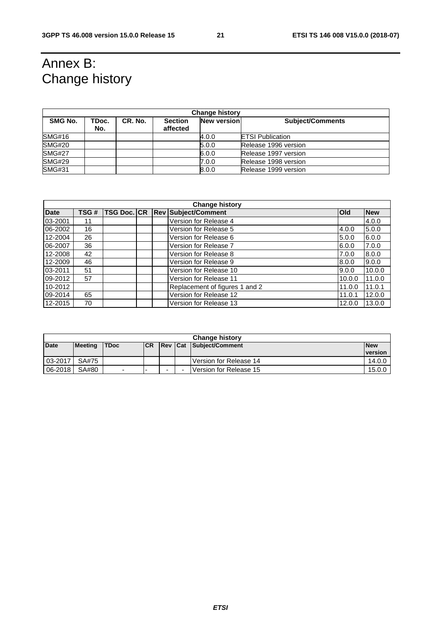# Annex B: Change history

| <b>Change history</b> |              |         |                            |                    |                         |  |  |
|-----------------------|--------------|---------|----------------------------|--------------------|-------------------------|--|--|
| SMG No.               | TDoc.<br>No. | CR. No. | <b>Section</b><br>affected | <b>New version</b> | <b>Subject/Comments</b> |  |  |
| SMG#16                |              |         |                            | 4.0.0              | <b>ETSI Publication</b> |  |  |
| <b>SMG#20</b>         |              |         |                            | 5.0.0              | Release 1996 version    |  |  |
| <b>SMG#27</b>         |              |         |                            | 6.0.0              | Release 1997 version    |  |  |
| <b>SMG#29</b>         |              |         |                            | 7.0.0              | Release 1998 version    |  |  |
| <b>SMG#31</b>         |              |         |                            | 8.0.0              | Release 1999 version    |  |  |

|             | <b>Change history</b> |  |  |  |                                     |            |            |
|-------------|-----------------------|--|--|--|-------------------------------------|------------|------------|
| <b>Date</b> | TSG#                  |  |  |  | TSG Doc. CR   Rev   Subject/Comment | <b>Old</b> | <b>New</b> |
| 03-2001     | 11                    |  |  |  | Version for Release 4               |            | 4.0.0      |
| 06-2002     | 16                    |  |  |  | Version for Release 5               | 4.0.0      | 5.0.0      |
| 12-2004     | 26                    |  |  |  | Version for Release 6               | 5.0.0      | 6.0.0      |
| 06-2007     | 36                    |  |  |  | Version for Release 7               | 6.0.0      | 7.0.0      |
| 12-2008     | 42                    |  |  |  | Version for Release 8               | 7.0.0      | 8.0.0      |
| 12-2009     | 46                    |  |  |  | Version for Release 9               | 8.0.0      | 9.0.0      |
| 03-2011     | 51                    |  |  |  | Version for Release 10              | 9.0.0      | 10.0.0     |
| 09-2012     | 57                    |  |  |  | Version for Release 11              | 10.0.0     | 11.0.0     |
| 10-2012     |                       |  |  |  | Replacement of figures 1 and 2      | 11.0.0     | 11.0.1     |
| 09-2014     | 65                    |  |  |  | Version for Release 12              | 11.0.1     | 12.0.0     |
| 12-2015     | 70                    |  |  |  | Version for Release 13              | 12.0.0     | 13.0.0     |

|         | <b>Change history</b> |                          |            |                          |  |                                |                |  |
|---------|-----------------------|--------------------------|------------|--------------------------|--|--------------------------------|----------------|--|
| Date    | <b>Meeting</b>        | <b>TDoc</b>              | <b>ICR</b> |                          |  | <b>Rev Cat Subject/Comment</b> | <b>New</b>     |  |
|         |                       |                          |            |                          |  |                                | <b>version</b> |  |
| 03-2017 | SA#75                 |                          |            |                          |  | Version for Release 14         | 14.0.0         |  |
| 06-2018 | SA#80                 | $\overline{\phantom{0}}$ |            | $\overline{\phantom{0}}$ |  | Version for Release 15         | 15.0.0         |  |